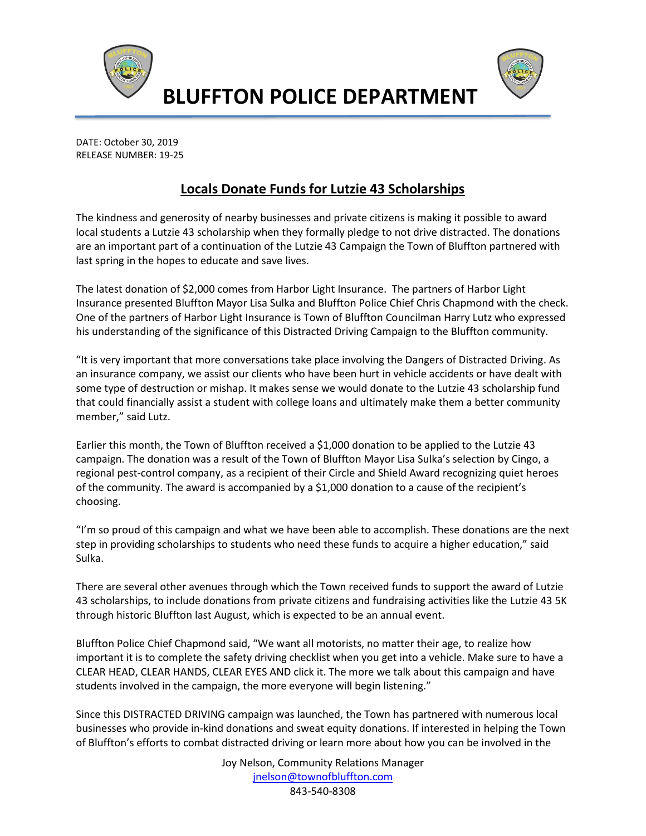



**BLUFFTON POLICE DEPARTMENT**

DATE: October 30, 2019 RELEASE NUMBER: 19-25

## **Locals Donate Funds for Lutzie 43 Scholarships**

The kindness and generosity of nearby businesses and private citizens is making it possible to award local students a Lutzie 43 scholarship when they formally pledge to not drive distracted. The donations are an important part of a continuation of the Lutzie 43 Campaign the Town of Bluffton partnered with last spring in the hopes to educate and save lives.

The latest donation of \$2,000 comes from Harbor Light Insurance. The partners of Harbor Light Insurance presented Bluffton Mayor Lisa Sulka and Bluffton Police Chief Chris Chapmond with the check. One of the partners of Harbor Light Insurance is Town of Bluffton Councilman Harry Lutz who expressed his understanding of the significance of this Distracted Driving Campaign to the Bluffton community.

"It is very important that more conversations take place involving the Dangers of Distracted Driving. As an insurance company, we assist our clients who have been hurt in vehicle accidents or have dealt with some type of destruction or mishap. It makes sense we would donate to the Lutzie 43 scholarship fund that could financially assist a student with college loans and ultimately make them a better community member," said Lutz.

Earlier this month, the Town of Bluffton received a \$1,000 donation to be applied to the Lutzie 43 campaign. The donation was a result of the Town of Bluffton Mayor Lisa Sulka's selection by Cingo, a regional pest-control company, as a recipient of their Circle and Shield Award recognizing quiet heroes of the community. The award is accompanied by a \$1,000 donation to a cause of the recipient's choosing.

"I'm so proud of this campaign and what we have been able to accomplish. These donations are the next step in providing scholarships to students who need these funds to acquire a higher education," said Sulka.

There are several other avenues through which the Town received funds to support the award of Lutzie 43 scholarships, to include donations from private citizens and fundraising activities like the Lutzie 43 5K through historic Bluffton last August, which is expected to be an annual event.

Bluffton Police Chief Chapmond said, "We want all motorists, no matter their age, to realize how important it is to complete the safety driving checklist when you get into a vehicle. Make sure to have a CLEAR HEAD, CLEAR HANDS, CLEAR EYES AND click it. The more we talk about this campaign and have students involved in the campaign, the more everyone will begin listening."

Since this DISTRACTED DRIVING campaign was launched, the Town has partnered with numerous local businesses who provide in-kind donations and sweat equity donations. If interested in helping the Town of Bluffton's efforts to combat distracted driving or learn more about how you can be involved in the

> Joy Nelson, Community Relations Manager [jnelson@townofbluffton.com](mailto:jnelson@townofbluffton.com) 843-540-8308